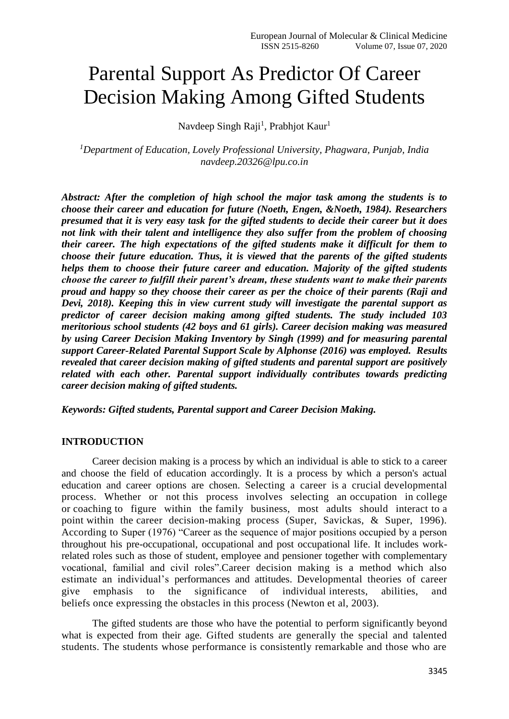# Parental Support As Predictor Of Career Decision Making Among Gifted Students

Navdeep Singh Raji<sup>1</sup>, Prabhjot Kaur<sup>1</sup>

*<sup>1</sup>Department of Education, Lovely Professional University, Phagwara, Punjab, India [navdeep.20326@lpu.co.in](mailto:navdeep.20326@lpu.co.in)*

*Abstract: After the completion of high school the major task among the students is to choose their career and education for future (Noeth, Engen, &Noeth, 1984). Researchers presumed that it is very easy task for the gifted students to decide their career but it does not link with their talent and intelligence they also suffer from the problem of choosing their career. The high expectations of the gifted students make it difficult for them to choose their future education. Thus, it is viewed that the parents of the gifted students helps them to choose their future career and education. Majority of the gifted students choose the career to fulfill their parent's dream, these students want to make their parents proud and happy so they choose their career as per the choice of their parents (Raji and Devi, 2018). Keeping this in view current study will investigate the parental support as predictor of career decision making among gifted students. The study included 103 meritorious school students (42 boys and 61 girls). Career decision making was measured by using Career Decision Making Inventory by Singh (1999) and for measuring parental support Career-Related Parental Support Scale by Alphonse (2016) was employed. Results revealed that career decision making of gifted students and parental support are positively related with each other. Parental support individually contributes towards predicting career decision making of gifted students.* 

*Keywords: Gifted students, Parental support and Career Decision Making.*

#### **INTRODUCTION**

Career decision making is a process by which an individual is able to stick to a career and choose the field of education accordingly. It is a process by which a person's actual education and career options are chosen. Selecting a career is a crucial developmental process. Whether or not this process involves selecting an occupation in college or coaching to figure within the family business, most adults should interact to a point within the career decision-making process (Super, Savickas, & Super, 1996). According to Super (1976) "Career as the sequence of major positions occupied by a person throughout his pre-occupational, occupational and post occupational life. It includes workrelated roles such as those of student, employee and pensioner together with complementary vocational, familial and civil roles".Career decision making is a method which also estimate an individual's performances and attitudes. Developmental theories of career give emphasis to the significance of individual interests, abilities, and beliefs once expressing the obstacles in this process (Newton et al, 2003).

The gifted students are those who have the potential to perform significantly beyond what is expected from their age. Gifted students are generally the special and talented students. The students whose performance is consistently remarkable and those who are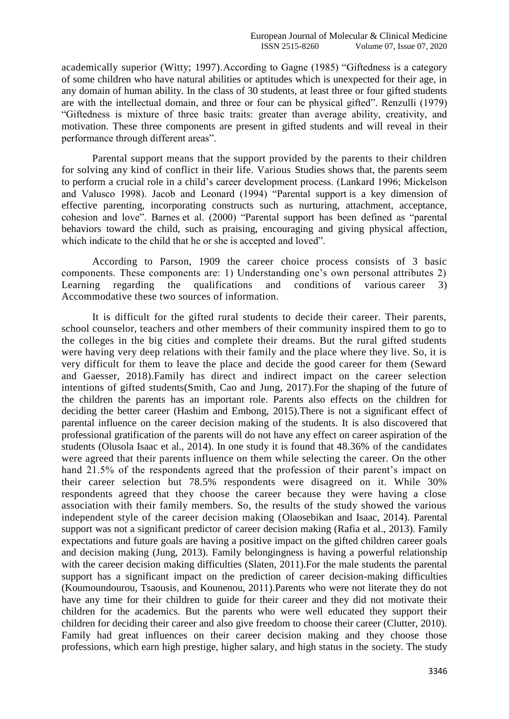academically superior (Witty; 1997).According to Gagne (1985) "Giftedness is a category of some children who have natural abilities or aptitudes which is unexpected for their age, in any domain of human ability. In the class of 30 students, at least three or four gifted students are with the intellectual domain, and three or four can be physical gifted". Renzulli (1979) "Giftedness is mixture of three basic traits: greater than average ability, creativity, and motivation. These three components are present in gifted students and will reveal in their performance through different areas".

Parental support means that the support provided by the parents to their children for solving any kind of conflict in their life. Various Studies shows that, the parents seem to perform a crucial role in a child's career development process. (Lankard 1996; Mickelson and Valusco 1998). Jacob and Leonard (1994) "Parental support is a key dimension of effective parenting, incorporating constructs such as nurturing, attachment, acceptance, cohesion and love". Barnes et al. (2000) "Parental support has been defined as "parental behaviors toward the child, such as praising, encouraging and giving physical affection, which indicate to the child that he or she is accepted and loved".

According to Parson, 1909 the career choice process consists of 3 basic components. These components are: 1) Understanding one's own personal attributes 2) Learning regarding the qualifications and conditions of various career 3) Accommodative these two sources of information.

It is difficult for the gifted rural students to decide their career. Their parents, school counselor, teachers and other members of their community inspired them to go to the colleges in the big cities and complete their dreams. But the rural gifted students were having very deep relations with their family and the place where they live. So, it is very difficult for them to leave the place and decide the good career for them (Seward and Gaesser, 2018).Family has direct and indirect impact on the career selection intentions of gifted students(Smith, Cao and Jung, 2017).For the shaping of the future of the children the parents has an important role. Parents also effects on the children for deciding the better career (Hashim and Embong, 2015).There is not a significant effect of parental influence on the career decision making of the students. It is also discovered that professional gratification of the parents will do not have any effect on career aspiration of the students (Olusola Isaac et al., 2014). In one study it is found that 48.36% of the candidates were agreed that their parents influence on them while selecting the career. On the other hand 21.5% of the respondents agreed that the profession of their parent's impact on their career selection but 78.5% respondents were disagreed on it. While 30% respondents agreed that they choose the career because they were having a close association with their family members. So, the results of the study showed the various independent style of the career decision making (Olaosebikan and Isaac, 2014). Parental support was not a significant predictor of career decision making (Rafia et al., 2013). Family expectations and future goals are having a positive impact on the gifted children career goals and decision making (Jung, 2013). Family belongingness is having a powerful relationship with the career decision making difficulties (Slaten, 2011). For the male students the parental support has a significant impact on the prediction of career decision-making difficulties (Koumoundourou, Tsaousis, and Kounenou, 2011).Parents who were not literate they do not have any time for their children to guide for their career and they did not motivate their children for the academics. But the parents who were well educated they support their children for deciding their career and also give freedom to choose their career (Clutter, 2010). Family had great influences on their career decision making and they choose those professions, which earn high prestige, higher salary, and high status in the society. The study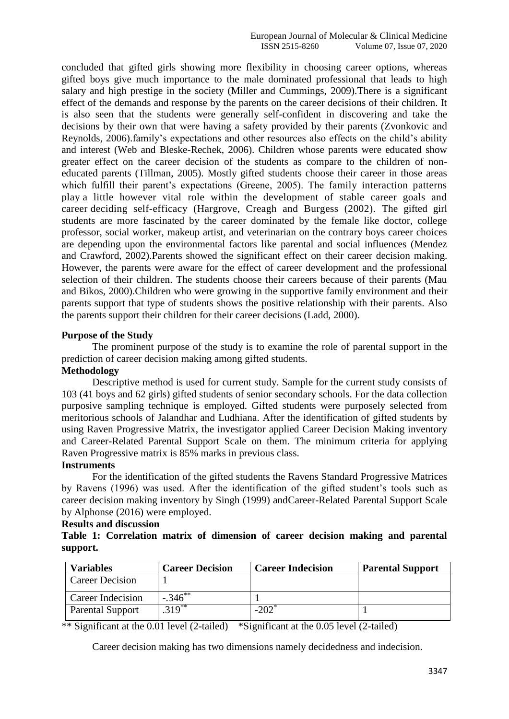concluded that gifted girls showing more flexibility in choosing career options, whereas gifted boys give much importance to the male dominated professional that leads to high salary and high prestige in the society (Miller and Cummings, 2009).There is a significant effect of the demands and response by the parents on the career decisions of their children. It is also seen that the students were generally self-confident in discovering and take the decisions by their own that were having a safety provided by their parents (Zvonkovic and Reynolds, 2006).family's expectations and other resources also effects on the child's ability and interest (Web and Bleske-Rechek, 2006). Children whose parents were educated show greater effect on the career decision of the students as compare to the children of noneducated parents (Tillman, 2005). Mostly gifted students choose their career in those areas which fulfill their parent's expectations (Greene, 2005). The family interaction patterns play a little however vital role within the development of stable career goals and career deciding self-efficacy (Hargrove, Creagh and Burgess (2002). The gifted girl students are more fascinated by the career dominated by the female like doctor, college professor, social worker, makeup artist, and veterinarian on the contrary boys career choices are depending upon the environmental factors like parental and social influences (Mendez and Crawford, 2002).Parents showed the significant effect on their career decision making. However, the parents were aware for the effect of career development and the professional selection of their children. The students choose their careers because of their parents (Mau and Bikos, 2000).Children who were growing in the supportive family environment and their parents support that type of students shows the positive relationship with their parents. Also the parents support their children for their career decisions (Ladd, 2000).

### **Purpose of the Study**

The prominent purpose of the study is to examine the role of parental support in the prediction of career decision making among gifted students.

## **Methodology**

Descriptive method is used for current study. Sample for the current study consists of 103 (41 boys and 62 girls) gifted students of senior secondary schools. For the data collection purposive sampling technique is employed. Gifted students were purposely selected from meritorious schools of Jalandhar and Ludhiana. After the identification of gifted students by using Raven Progressive Matrix, the investigator applied Career Decision Making inventory and Career-Related Parental Support Scale on them. The minimum criteria for applying Raven Progressive matrix is 85% marks in previous class.

## **Instruments**

For the identification of the gifted students the Ravens Standard Progressive Matrices by Ravens (1996) was used. After the identification of the gifted student's tools such as career decision making inventory by Singh (1999) andCareer-Related Parental Support Scale by Alphonse (2016) were employed.

## **Results and discussion**

## **Table 1: Correlation matrix of dimension of career decision making and parental support.**

| <b>Variables</b>        | <b>Career Decision</b> | <b>Career Indecision</b> | <b>Parental Support</b> |
|-------------------------|------------------------|--------------------------|-------------------------|
| <b>Career Decision</b>  |                        |                          |                         |
| Career Indecision       | $-.346$ **             |                          |                         |
| <b>Parental Support</b> | $.319***$              | $-202$ <sup>*</sup>      |                         |

\*\* Significant at the 0.01 level (2-tailed) \*Significant at the 0.05 level (2-tailed)

Career decision making has two dimensions namely decidedness and indecision.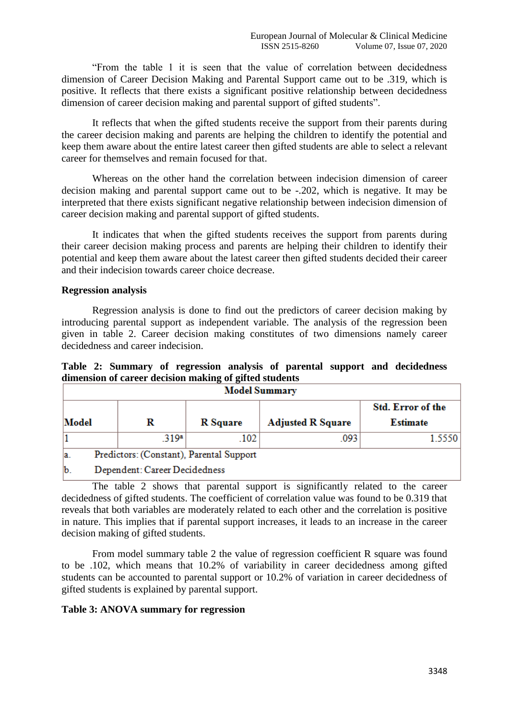"From the table 1 it is seen that the value of correlation between decidedness dimension of Career Decision Making and Parental Support came out to be .319, which is positive. It reflects that there exists a significant positive relationship between decidedness dimension of career decision making and parental support of gifted students".

It reflects that when the gifted students receive the support from their parents during the career decision making and parents are helping the children to identify the potential and keep them aware about the entire latest career then gifted students are able to select a relevant career for themselves and remain focused for that.

Whereas on the other hand the correlation between indecision dimension of career decision making and parental support came out to be -.202, which is negative. It may be interpreted that there exists significant negative relationship between indecision dimension of career decision making and parental support of gifted students.

It indicates that when the gifted students receives the support from parents during their career decision making process and parents are helping their children to identify their potential and keep them aware about the latest career then gifted students decided their career and their indecision towards career choice decrease.

#### **Regression analysis**

Regression analysis is done to find out the predictors of career decision making by introducing parental support as independent variable. The analysis of the regression been given in table 2. Career decision making constitutes of two dimensions namely career decidedness and career indecision.

## **Table 2: Summary of regression analysis of parental support and decidedness dimension of career decision making of gifted students**

| <b>Model Summary</b> |                                          |                 |                          |                   |  |  |  |
|----------------------|------------------------------------------|-----------------|--------------------------|-------------------|--|--|--|
|                      |                                          |                 |                          | Std. Error of the |  |  |  |
| Model                | R                                        | <b>R</b> Square | <b>Adjusted R Square</b> | <b>Estimate</b>   |  |  |  |
|                      | .319a                                    | .102            | .093                     | 1.5550            |  |  |  |
| la.                  | Predictors: (Constant), Parental Support |                 |                          |                   |  |  |  |
| $\mathbf b$ .        | Dependent: Career Decidedness            |                 |                          |                   |  |  |  |

The table 2 shows that parental support is significantly related to the career decidedness of gifted students. The coefficient of correlation value was found to be 0.319 that reveals that both variables are moderately related to each other and the correlation is positive in nature. This implies that if parental support increases, it leads to an increase in the career decision making of gifted students.

From model summary table 2 the value of regression coefficient R square was found to be .102, which means that 10.2% of variability in career decidedness among gifted students can be accounted to parental support or 10.2% of variation in career decidedness of gifted students is explained by parental support.

#### **Table 3: ANOVA summary for regression**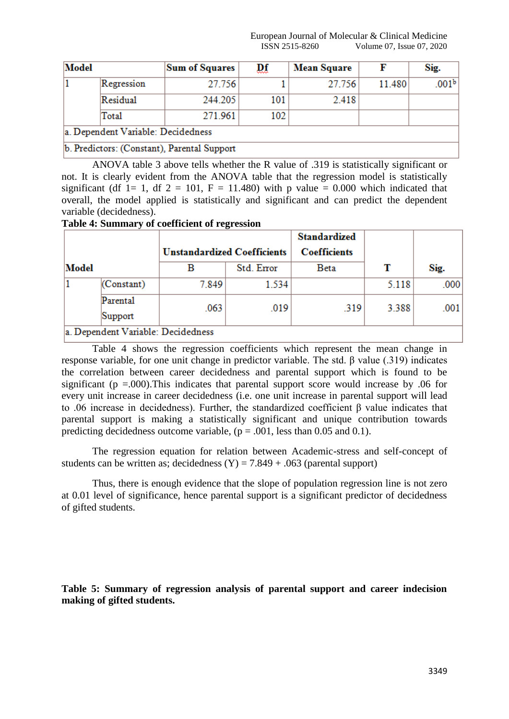| Model |                                    | <b>Sum of Squares</b>                       | ₽ŧ  | <b>Mean Square</b> |        | Sig.              |
|-------|------------------------------------|---------------------------------------------|-----|--------------------|--------|-------------------|
|       | Regression                         | 27.756                                      |     | 27.756             | 11.480 | .001 <sup>b</sup> |
|       | Residual                           | 244.205                                     | 101 | 2.418              |        |                   |
|       | Total                              | 271.961                                     | 102 |                    |        |                   |
|       | a. Dependent Variable: Decidedness |                                             |     |                    |        |                   |
|       |                                    | b. Predictors: (Constant), Parental Support |     |                    |        |                   |

ANOVA table 3 above tells whether the R value of .319 is statistically significant or not. It is clearly evident from the ANOVA table that the regression model is statistically significant (df 1= 1, df 2 = 101, F = 11.480) with p value = 0.000 which indicated that overall, the model applied is statistically and significant and can predict the dependent variable (decidedness).

#### **Table 4: Summary of coefficient of regression**

|       |                                    |                                         |            | <b>Standardized</b>         |       |      |  |  |
|-------|------------------------------------|-----------------------------------------|------------|-----------------------------|-------|------|--|--|
| Model |                                    | <b>Unstandardized Coefficients</b><br>в | Std. Error | <b>Coefficients</b><br>Beta | т     | Sig. |  |  |
|       |                                    |                                         |            |                             |       |      |  |  |
|       | (Constant)                         | 7.849                                   | 1.534      |                             | 5.118 | .000 |  |  |
|       | Parental<br>Support                | .063                                    | .019       | .319                        | 3.388 | .001 |  |  |
|       | a. Dependent Variable: Decidedness |                                         |            |                             |       |      |  |  |

Table 4 shows the regression coefficients which represent the mean change in response variable, for one unit change in predictor variable. The std. β value (.319) indicates the correlation between career decidedness and parental support which is found to be significant ( $p = .000$ ). This indicates that parental support score would increase by 0.06 for every unit increase in career decidedness (i.e. one unit increase in parental support will lead to .06 increase in decidedness). Further, the standardized coefficient β value indicates that parental support is making a statistically significant and unique contribution towards predicting decidedness outcome variable,  $(p = .001$ , less than 0.05 and 0.1).

The regression equation for relation between Academic-stress and self-concept of students can be written as; decidedness  $(Y) = 7.849 + .063$  (parental support)

Thus, there is enough evidence that the slope of population regression line is not zero at 0.01 level of significance, hence parental support is a significant predictor of decidedness of gifted students.

**Table 5: Summary of regression analysis of parental support and career indecision making of gifted students.**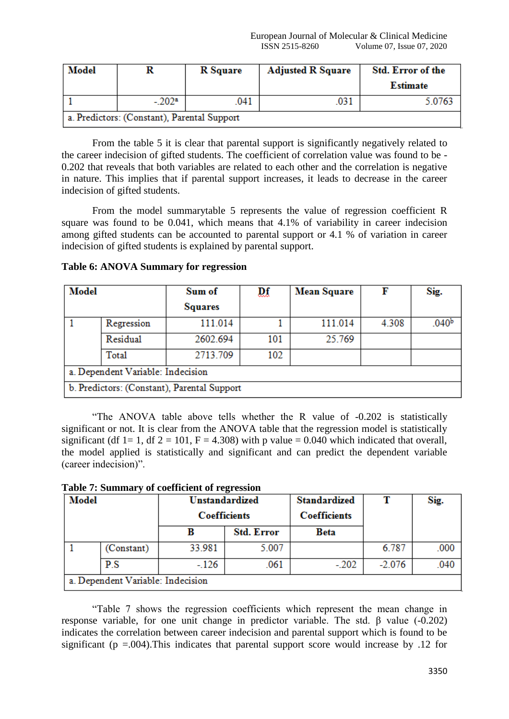| Model |                                             | <b>R</b> Square | <b>Adjusted R Square</b> | Std. Error of the |  |  |  |  |
|-------|---------------------------------------------|-----------------|--------------------------|-------------------|--|--|--|--|
|       |                                             |                 |                          | Estimate          |  |  |  |  |
|       | $-.202a$                                    | .041            | .031                     | 5.0763            |  |  |  |  |
|       | a. Predictors: (Constant), Parental Support |                 |                          |                   |  |  |  |  |

From the table 5 it is clear that parental support is significantly negatively related to the career indecision of gifted students. The coefficient of correlation value was found to be - 0.202 that reveals that both variables are related to each other and the correlation is negative in nature. This implies that if parental support increases, it leads to decrease in the career indecision of gifted students.

From the model summarytable 5 represents the value of regression coefficient R square was found to be 0.041, which means that 4.1% of variability in career indecision among gifted students can be accounted to parental support or 4.1 % of variation in career indecision of gifted students is explained by parental support.

**Table 6: ANOVA Summary for regression**

| <b>Model</b>                      |                                             | Sum of         | ₽ŧ  | <b>Mean Square</b> | F     | Sig.              |  |  |
|-----------------------------------|---------------------------------------------|----------------|-----|--------------------|-------|-------------------|--|--|
|                                   |                                             | <b>Squares</b> |     |                    |       |                   |  |  |
|                                   | Regression                                  | 111.014        |     | 111.014            | 4.308 | .040 <sup>b</sup> |  |  |
|                                   | Residual                                    | 2602.694       | 101 | 25.769             |       |                   |  |  |
|                                   | Total                                       | 2713.709       | 102 |                    |       |                   |  |  |
| a. Dependent Variable: Indecision |                                             |                |     |                    |       |                   |  |  |
|                                   | b. Predictors: (Constant), Parental Support |                |     |                    |       |                   |  |  |

"The ANOVA table above tells whether the R value of -0.202 is statistically significant or not. It is clear from the ANOVA table that the regression model is statistically significant (df 1= 1, df 2 = 101, F = 4.308) with p value = 0.040 which indicated that overall, the model applied is statistically and significant and can predict the dependent variable (career indecision)".

| Model |                                   | <b>Unstandardized</b> |                   | <b>Standardized</b> |          | Sig. |
|-------|-----------------------------------|-----------------------|-------------------|---------------------|----------|------|
|       |                                   | <b>Coefficients</b>   |                   | <b>Coefficients</b> |          |      |
|       |                                   |                       | <b>Std. Error</b> | Beta                |          |      |
|       | (Constant)                        | 33.981                | 5.007             |                     | 6.787    | .000 |
|       | P.S                               | $-.126$               | .061              | $-.202$             | $-2.076$ | .040 |
|       | a. Dependent Variable: Indecision |                       |                   |                     |          |      |

**Table 7: Summary of coefficient of regression**

"Table 7 shows the regression coefficients which represent the mean change in response variable, for one unit change in predictor variable. The std. β value (-0.202) indicates the correlation between career indecision and parental support which is found to be significant ( $p = .004$ ). This indicates that parental support score would increase by .12 for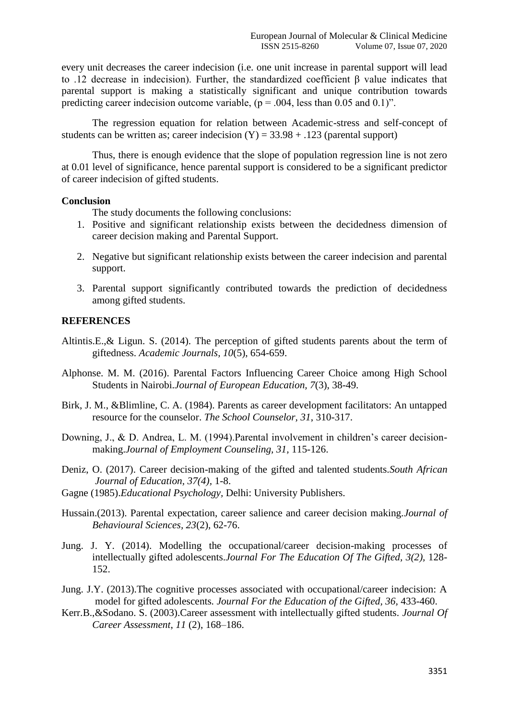every unit decreases the career indecision (i.e. one unit increase in parental support will lead to .12 decrease in indecision). Further, the standardized coefficient β value indicates that parental support is making a statistically significant and unique contribution towards predicting career indecision outcome variable,  $(p = .004$ , less than 0.05 and 0.1)".

The regression equation for relation between Academic-stress and self-concept of students can be written as; career indecision  $(Y) = 33.98 + 0.123$  (parental support)

Thus, there is enough evidence that the slope of population regression line is not zero at 0.01 level of significance, hence parental support is considered to be a significant predictor of career indecision of gifted students.

### **Conclusion**

The study documents the following conclusions:

- 1. Positive and significant relationship exists between the decidedness dimension of career decision making and Parental Support.
- 2. Negative but significant relationship exists between the career indecision and parental support.
- 3. Parental support significantly contributed towards the prediction of decidedness among gifted students.

#### **REFERENCES**

- Altintis.E.,& Ligun. S. (2014). The perception of gifted students parents about the term of giftedness. *Academic Journals, 10*(5), 654-659.
- Alphonse. M. M. (2016). Parental Factors Influencing Career Choice among High School Students in Nairobi.*Journal of European Education, 7*(3), 38-49.
- Birk, J. M., &Blimline, C. A. (1984). Parents as career development facilitators: An untapped resource for the counselor. *The School Counselor, 31*, 310-317.
- Downing, J., & D. Andrea, L. M. (1994).Parental involvement in children's career decisionmaking.*Journal of Employment Counseling, 31,* 115-126.
- Deniz, O. (2017). Career decision-making of the gifted and talented students.*South African Journal of Education, 37(4),* 1-8.
- Gagne (1985).*Educational Psychology,* Delhi: University Publishers.
- Hussain.(2013). Parental expectation, career salience and career decision making.*[Journal of](https://search.proquest.com/pubidlinkhandler/sng/pubtitle/Journal+of+Behavioural+Sciences/$N/136244/DocView/1477457526/fulltext/93989DF2CA9F4016PQ/1?accountid=80692)  [Behavioural Sciences,](https://search.proquest.com/pubidlinkhandler/sng/pubtitle/Journal+of+Behavioural+Sciences/$N/136244/DocView/1477457526/fulltext/93989DF2CA9F4016PQ/1?accountid=80692) 23*(2), 62-76.
- [Jung.](http://journals.sagepub.com/author/Jung%2C+Jae+Yup) J. Y. (2014). Modelling the occupational/career decision-making processes of intellectually gifted adolescents.*[Journal For The Education Of The Gifted,](http://journals.sagepub.com/home/jeg) 3(2),* 128- 152.
- Jung. J.Y. (2013).The cognitive processes associated with occupational/career indecision: A model for gifted adolescents*. Journal For the Education of the Gifted, 36,* 433-460.
- Kerr.B.,&Sodano. S. (2003).Career assessment with intellectually gifted students. *Journal Of Career Assessment*, *11* (2), 168–186.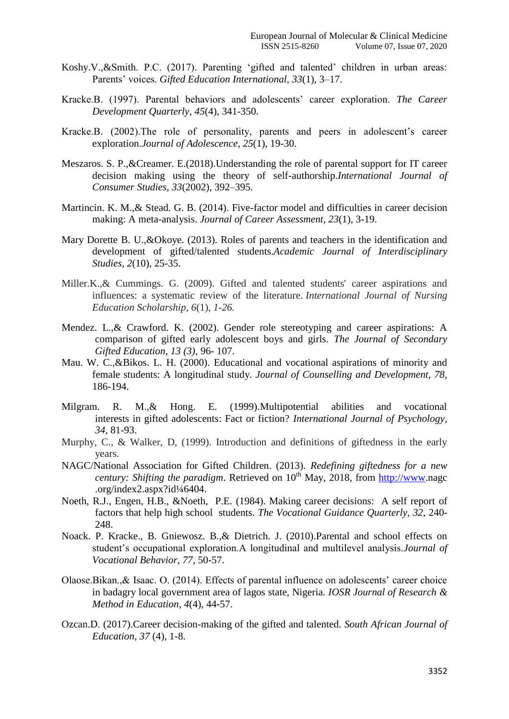- Koshy.V.,&Smith. P.C. (2017). Parenting 'gifted and talented' children in urban areas: Parents' voices. *Gifted Education International, 33*(1), 3–17.
- Kracke.B. (1997). Parental behaviors and adolescents' career exploration. *The Career Development Quarterly*, *45*(4), 341-350.
- Kracke.B. (2002).The role of personality, parents and peers in adolescent's career exploration.*Journal of Adolescence, 25*(1), 19-30.
- Meszaros. S. P.,&Creamer. E.(2018).Understanding the role of parental support for IT career decision making using the theory of self-authorship.*International Journal of Consumer Studies, 33*(2002), 392–395.
- Martincin. K. M., & Stead. G. B. (2014). Five-factor model and difficulties in career decision making: A meta-analysis. *Journal of Career Assessment, 23*(1), 3-19.
- Mary Dorette B. U.,&Okoye. (2013). Roles of parents and teachers in the identification and development of gifted/talented students.*Academic Journal of Interdisciplinary Studies, 2*(10), 25-35.
- Miller.K.,& Cummings. G. (2009). Gifted and talented students' career aspirations and influences: a systematic review of the literature*. International Journal of Nursing Education Scholarship, 6*(1), *1-26.*
- Mendez. L.,& Crawford. K. (2002). Gender role stereotyping and career aspirations: A comparison of gifted early adolescent boys and girls. *The Journal of Secondary Gifted Education, 13 (3),* 96- 107.
- Mau. W. C.,&Bikos. L. H. (2000). Educational and vocational aspirations of minority and female students: A longitudinal study. *Journal of Counselling and Development, 78*, 186-194.
- Milgram. R. M.,& Hong. E. (1999).Multipotential abilities and vocational interests in gifted adolescents: Fact or fiction? *International Journal of Psychology, 34,* 81-93.
- Murphy, C., & Walker, D, (1999). Introduction and definitions of giftedness in the early years.
- NAGC/National Association for Gifted Children. (2013). *Redefining giftedness for a new century: Shifting the paradigm.* Retrieved on  $10<sup>th</sup>$  May, 2018, from [http://www.](http://www/)nagc .org/index2.aspx?id¼6404.
- Noeth, R.J., Engen, H.B., &Noeth, P.E. (1984). Making career decisions: A self report of factors that help high school students. *The Vocational Guidance Quarterly, 32,* 240- 248.
- Noack. P. Kracke., B. Gniewosz. B.,& Dietrich. J. (2010).Parental and school effects on student's occupational exploration.A longitudinal and multilevel analysis.*Journal of Vocational Behavior, 77*, 50-57.
- Olaose.Bikan.,& Isaac. O. (2014). Effects of parental influence on adolescents' career choice in badagry local government area of lagos state, Nigeria. *IOSR Journal of Research & Method in Education, 4*(4), 44-57.
- Ozcan.D. (2017).Career decision-making of the gifted and talented. *South African Journal of Education, 37* (4), 1-8.